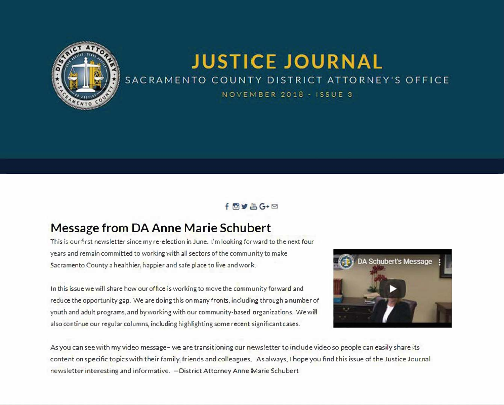

# **JUSTICE JOURNAL** SACRAMENTO COUNTY DISTRICT ATTORNEY'S OFFICE

NOVEMBER 2018 - ISSUE 3

#### $f$ <sup> $\theta$ </sup> $\blacktriangleright$   $\triangle$   $G$   $+$   $\square$

## Message from DA Anne Marie Schubert

This is our first newsletter since my re-election in June. I'm looking for ward to the next four years and remain committed to working with all sectors of the community to make Sacramento County a healthier, happier and safe place to live and work.

In this issue we will share how our office is working to move the comm unity forward and reduce the opportunity gap. We are doing this on many fronts, including through a number of youth and adult programs, and by working with our community-based organizations. We will also continue our regular columns, including highlighting some recent significant cases.



As you can see with my video message- we are transitioning our newsletter to indude video so people can easily share its content on specific topics with their family, friends and colleagues. As always. I hope you find this issue of the Justice Journal newsletter interesting and informative. - District Attorney Anne Marie Schubert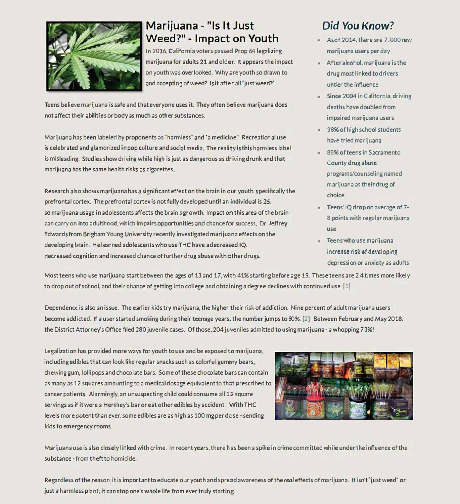

# **Marijuana- "Is It Just Weed?" - Impact on Youth**

In 2016, California voters passed Prop 64 legalizing marijuana for adults 21 and older. It appears the impact on youth was overlooked. Why are youth so drawn to and accepting of weed? Is it after all "just weed?"

Teens believe marijuana is safe and that everyone uses it. They often believe marijuana does not affect their abilities or body as much as other substances.

Marijuana has been labeled by proponents as "harmless" and "a medicine." Recreational use is celebrated and glamorized in pop culture and social media. The reality is this harmless label is mis leading. Studies show driving while high is just as dangerous as driving drunk and that marijuana has the same health risks as cigarettes.

Research also shows marijuana has a significant effect on the brain in our youth, specifically the prefrontal cortex. The prefrontal cortex is not fully developed until an individual is 25, so marijuana usage in adolescents affects the brain's growth. Impact on this area of the brain can carry on into adulthood, which impairs opportunities and chance for success. Dr. Jeffrey Edwards from Brigham Young University recently investigated marijuana effects on the developing brain. He learned adolescents who use THC have a decreased IQ. decreased cognition and increased chance of further drug abuse with other drugs.

# *Did You Know?*

- Asof 2014, there are 7,000 rew marijuana users per day
- After alcohol. marijuana is the drug most linked to drivers under the influence
- Since 2004 in California. driving deaths have doubled from impaired marijuana users
- 38%of high school students have tried marijuana
- $= 88%$  of teens in Sacramento County drug abuse programs/counseling named marijuana as their drug of choice
- Teens' IQ drop on average of 7-8 points with regular marijuana use
- Teens who use marijuana increase risk of developing depression or anxiety as adults

Most teens who use marijuana start between the ages of 13 and 17, with 41% starting before age 15. These teens are 2.4 times more likely to drop out of school, and their chance of getting into college and obtaining a degree declines with continued use. [1]

Dependence is also an issue. The earlier kids try marijuana, the higher their risk of addiction. Nine percent of adult marijuana users become addicted. If a user started smoking during their teenage years, the number jumps to 50%. [2] Between February and May 2018, the District Attorney's Office filed 280 juvenile cases. Of those, 204 juveniles admitted to using marijuana-a whopping 73%!

legalization has provided more ways for youth to use and be exposed to marijuana, including edibles that can look like regular snacks such as colorful gummy bears, chewing gum, lollipops and chocolate bars. Some of these chocol�te bars can contain as many as 12 squares amounting to a medical dosage equivalent to that prescribed to cancer patients. Alarmingly, an unsuspecting child could consume all 12 square servings as if it were a Hershey's bar or eat other edibles by accident. With THC evels more potent than ever, some edibles are as high as 100 mg per dose - sending kids to emergency rooms.



Marijuana use is also closely linked with crime. In recent years, there has been a spike in crime committed while under the influence of the substance - from theft to homicide.

Regardless of the reason. it is important to educate our youth and spread awareness of the *real* effects of marijuana. It isn't "just weed" or just a harmless plant; it can stop one's whole life from ever truly starting.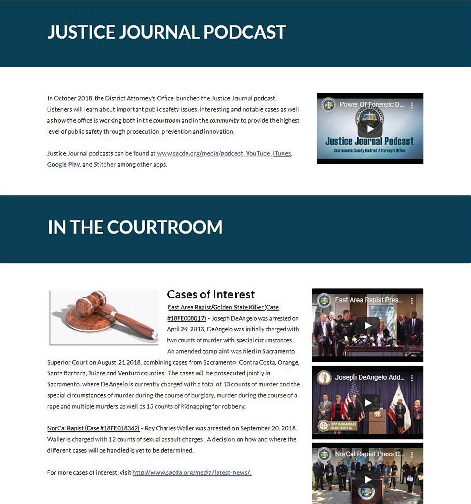# **JUSTICE JOURNAL PODCAST**

In October 2018, the District Attorney's Office launched the Justice Journal podcast. Listeners will learn about important public safety issues, interesting and notable cases as well as how the office is working both in the *courtroom* and in the *community* to provide the highest level of public safety through prosecution, prevention and innovation.

Justice Journal pod casts can be found at www.sacda.org/media/podcast. You Tube, iTunes, Google Play, and Stitcher among other apps.



# **IN THE COURTROOM**



# Cases of **Interest**

East Area Rapist/Golden State Killer (Case #18FE008017) - Joseph DeAngelo was arrested on April 24, 2013. DeAngelo was initially charged with two counts of murder with special circumstances. An amended complaint was filed in Sacramento

Superior Court on August 21,2018, combining cases from Sacramento, Contra Costa, Orange, Santa Barbara, Tulare and Ventura counties. The cases will be prosecuted jointly in Sacramento. where OeAngelo is currently charged with a total of 13 counts of murder and the special circumstances of murder during the course of burglary, murder during the course of a rape and multiple murders as well as 13 counts of kidnapping for robbery.

NorCal Rapist (Case #18FE018342) - Roy Charles Waller was arrested on September 20, 2018. Waller is charged with 12 counts of sexual assault charges. A decision on how and where the different cases will be handled is yet to be determined.

For more cases of interest, visit http://www.sacda.org/media/latest-news/.





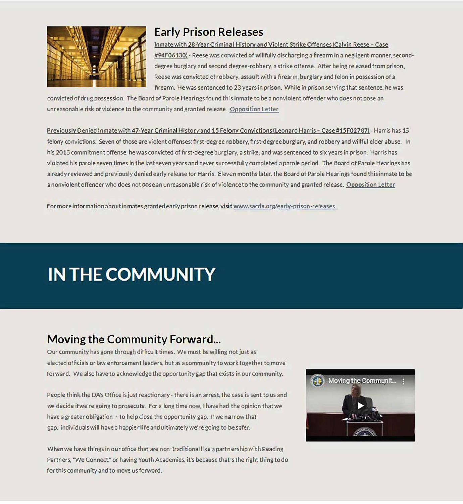

# Early Prison Releases

Inmate with 28-Year Criminal History and Violent Strike Offenses (Calvin Reese - Case #94F06130). - Reese was convicted of willfully discharging a firearm in a negligent manner, seconddegree burglary and second degree-robbery, a strike offense. After being released from prison, Reese was convicted of robbery, assault with a firearm, burglary and felon in possession of a firearm. He was sentenced to 23 years in prison. While in prison serving that sentence. he was

convicted of drug possession. The Board of Parole Hearings found this inmate to be a nonviolent offender who does not pose an unreasonable risk of violence to the community and granted release. Opposition Letter

Previously Denied Inmate with 47-Year Criminal History and 15 Felony Convictions (Leonard Harris - Case #15F02787) - Harris has 15 felony convictions. Seven of those are violent offenses: first-degree robbery, first-degree burglary, and robbery and willful elder abuse. In his 2015 commitment offense, he was convicted of first-degree burglary, a strike, and was sentenced to six years in prison. Harris has violated his parole seven times in the last seven years and never successfully completed a parole period. The Board of Parole Hearings has already reviewed and previously denied early release for Harris. Eleven months later, the Board of Parole Hearings found this inmate to be a nonviolent offender who does not pose an unreasonable risk of violence to the community and granted release. Opposition Letter

For more information about inmates granted early prison release, visit www.sacda.org/early-prison-releases.

# **IN THE COMMUNITY**

# Moving the Community Forward...

Our community has gone through difficult times. We must be willing not just as elected officials or law enforcement leaders, but as a community to work together to move forward. We also have to acknowledge the opportunity gap that exists in our community.

People think the DA's Office is just reactionary - there is an arrest, the case is sent to us and we decide if we're going to prosecute. For a long time oow, I have had the opinion that we have a greater obligation  $\cdot$  to help close the opportunity gap. If we narrow that gap, individuals will have a happier life and ultimately we're going to be safer.

When we have things in our office that are non-traditional like a partnership with Reading Partners, "We Connect," or having Youth Academies. it's because that's the right thing to do for this community and to move us forward.

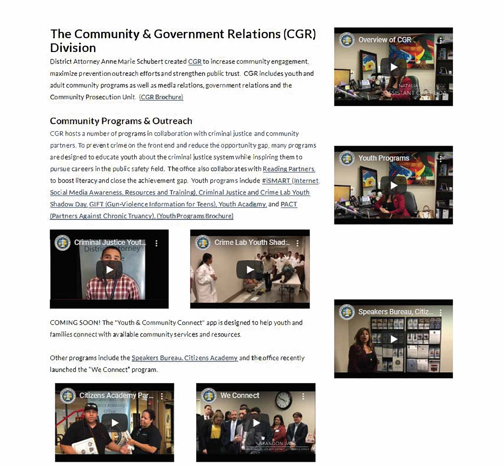# **The Community & Government Relations (CGR) Division**

District Attorney Anne Marie Schubert created CGR to increase community engagement. maximize prevention outreach efforts and strengthen public trust. CGR includes youth and adult community programs as well as media relations, government relations and the Community Prosecution Unit. (CGR Brochure)

## **Community Programs & Outreach**

CGR hosts a number of programs in collaboration with criminal justice and community partners. To prevent crime on the front end and reduce the opportunity gap, many programs are designed to educate youth about the criminal justice system while inspiring them to pursue careers in the public safety field. The office also collaborates with Reading Partners, to boost literacy and close the achievement gap. Youth programs include #iSMART {Internet, Social Media Awareness, Resources and Training}, Criminal Justice and Crime Lab Youth Shadow Day. GIFT (Gun-Violence Information for Teens), Youth Academy, and PACT (Partners Against Chronic Truancy). (Youth Programs Brochure)









COM ING SOON! The "Youth & Community Connect" app is designed to help youth and families connect with available community services and resources.

Other programs include the Speakers Bureau, Citizens Academy and the office recently launched the "We Connect" program.





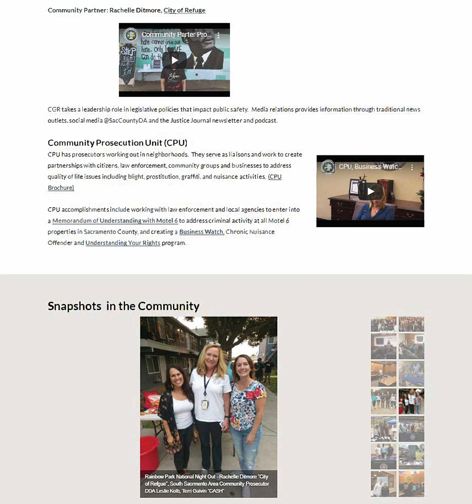#### **Community Partner: Rachelle Ditmore, City of Refuge**



CGR takes a leadership role in legislative policies that impact public safety. Media relations provides information through traditional news outlets, social media @SacCountyDA and the Justice Journal newsletter and podcast.

#### **Community Prosecution Unit (CPU)**

CPU has prosecutors working out in neighborhoods. They serve as lia isons and work to create partnerships with citizens, law enforcement, community groups and businesses to address quality of life issues including blight, prostitution, graffiti, and nuisance activities. (CPU Brochure)

CPU accomplishments include working with law enforcement and local agencies to enter into a Memorandum of Understanding with Motel 6 to address criminal activity at all Motel 6 properties in Sacramento County, and creating a Business Watch, Chronic Nuisance *Offender* and Understanding Your Rights program.



### Snapshots in the Community



of Refgue", South Sacrmento Area Community Prosecutor DDA Leslie Kolb, Terri Galvin "CASH"

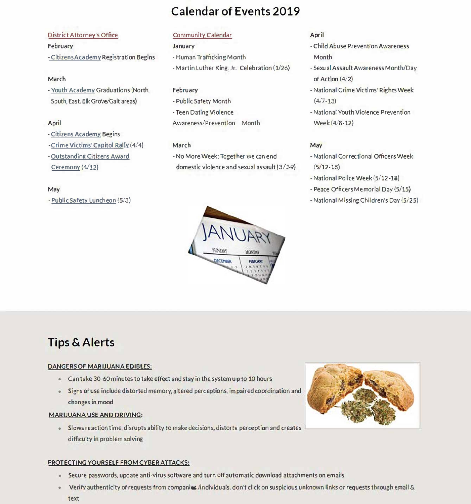# **Calendar of Events 2019**

#### District Attorney's Office

#### February

-CitizensAcademY. Registration Begins

#### March

• Youth AcademY. Graduations (North, South, East, Elk Grove/Galt areas)

#### April

- Citizens Academy Begins
- Crime Victims' CaQitol Ral!Y. (4/4)
- -Outstanding Citizens Award
- Ceremony (4/12)

#### May

- Public Safety Luncheon (5/3)

#### Community Calendar

#### January

- Human Trafficking Month
- Martin Luther King, Jr: Celebration {1/26)

#### February

• Public Safety Month - Teen Dating Violence Awareness/Prevention Month

#### March

-No More Week: Together we can end domestic violence and sexual assault (3/39)

# **ECEMBER EGAN ILV**

#### **April**

- -Child Abuse Prevention Awareness Month
- Sexual Assault Awareness Month/Day of Act<sup>i</sup> on (4/2)
- National Crime Victims' Rights Week (4/7-13)
- National Youth Violence Prevention Week (4/8-12)

#### **May**

- National Correctional Officers Week (5/12-18)
- National Police Week {5/12 18)
- Peace Officers Memorial Day (5/15)
- National Missing Children's Day (5/25)

# **Tips & Alerts**

#### DANGERS OF MARIJUANA EDIBLES:

- Can take 30-60 minutes to take effect and stay in the system up to 10 hours
- Signs of use include distorted memory, altered perceptions, impaired coordination and changes in mood

#### MARIJUANA USE AND DRIVING:

• Slows reaction time, disrupts ability to make decisions, distorts perception and creates difficulty in problem solving

#### PROTECTING YOURSELF FROM CYBER ATTACKS:

- Secure passwords, update anti-virus software and turn off automatic download attachments on emails
- Verify authenticity of requests from companies /individuals, don't click on suspicious unknown links or requests through email & text